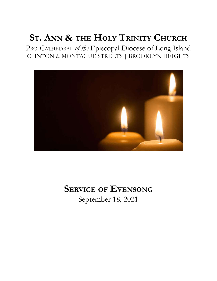# **ST. ANN & THE HOLY TRINITY CHURCH**

PRO-CATHEDRAL *of the* Episcopal Diocese of Long Island CLINTON & MONTAGUE STREETS | BROOKLYN HEIGHTS



# **SERVICE OF EVENSONG** September 18, 2021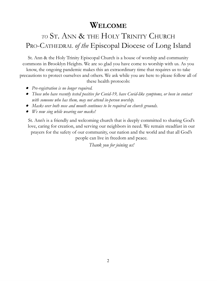# **WELCOME**

# *TO* ST. ANN & THE HOLY TRINITY CHURCH PRO-CATHEDRAL *of the* Episcopal Diocese of Long Island

St. Ann & the Holy Trinity Episcopal Church is a house of worship and community commons in Brooklyn Heights. We are so glad you have come to worship with us. As you know, the ongoing pandemic makes this an extraordinary time that requires us to take precautions to protect ourselves and others. We ask while you are here to please follow all of these health protocols:

- *Pre-registration is no longer required.*
- *Those who have recently tested positive for Covid-19, have Covid-like symptoms, or been in contact with someone who has them, may not attend in-person worship.*
- *Masks over both nose and mouth continues to be required on church grounds.*
- *We now sing while wearing our masks!*

St. Ann's is a friendly and welcoming church that is deeply committed to sharing God's love, caring for creation, and serving our neighbors in need. We remain steadfast in our prayers for the safety of our community, our nation and the world and that all God's people can live in freedom and peace.

*Thank you for joining us!*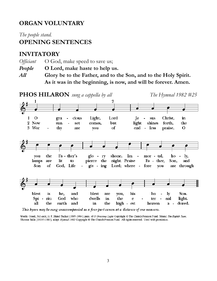## **ORGAN VOLUNTARY**

*The people stand.*

### **OPENING SENTENCES**

### **INVITATORY**

*Officiant* O God, make speed to save us;

- *People* **O Lord, make haste to help us.**
- *All* **Glory be to the Father, and to the Son, and to the Holy Spirit. As it was in the beginning, is now, and will be forever. Amen.**



This hymn may be sung unaccompanied as a four-part canon at a distance of one measure.

Words: Greek, 3rd cent.; tr. F. Bland Tucker (1895-1984); para. of O Gracious Light Copyright @ The Church Pension Fund. Music: The Eighth Tune, Thomas Tallis (1505?-1585); adapt. Hymnal 1982 Copyright @ The Church Pension Fund. All rights reserved. Used with permission.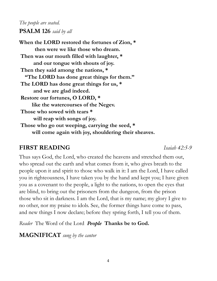## *The people are seated.* **PSALM 126** *said by all*

**When the LORD restored the fortunes of Zion, \* then were we like those who dream. Then was our mouth filled with laughter, \* and our tongue with shouts of joy. Then they said among the nations, \* "The LORD has done great things for them." The LORD has done great things for us, \* and we are glad indeed. Restore our fortunes, O LORD, \* like the watercourses of the Negev. Those who sowed with tears \* will reap with songs of joy. Those who go out weeping, carrying the seed, \* will come again with joy, shouldering their sheaves.**

## **FIRST READING** *Isaiah 42:5-9*

Thus says God, the Lord, who created the heavens and stretched them out, who spread out the earth and what comes from it, who gives breath to the people upon it and spirit to those who walk in it: I am the Lord, I have called you in righteousness, I have taken you by the hand and kept you; I have given you as a covenant to the people, a light to the nations, to open the eyes that are blind, to bring out the prisoners from the dungeon, from the prison those who sit in darkness. I am the Lord, that is my name; my glory I give to no other, nor my praise to idols. See, the former things have come to pass, and new things I now declare; before they spring forth, I tell you of them.

*Reader* The Word of the Lord *People* **Thanks be to God.**

## **MAGNIFICAT** *sung by the cantor*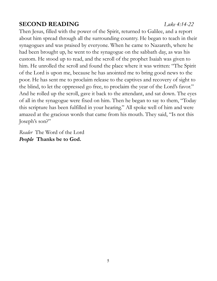# **SECOND READING** *Luke 4:14-22*

Then Jesus, filled with the power of the Spirit, returned to Galilee, and a report about him spread through all the surrounding country. He began to teach in their synagogues and was praised by everyone. When he came to Nazareth, where he had been brought up, he went to the synagogue on the sabbath day, as was his custom. He stood up to read, and the scroll of the prophet Isaiah was given to him. He unrolled the scroll and found the place where it was written: "The Spirit of the Lord is upon me, because he has anointed me to bring good news to the poor. He has sent me to proclaim release to the captives and recovery of sight to the blind, to let the oppressed go free, to proclaim the year of the Lord's favor." And he rolled up the scroll, gave it back to the attendant, and sat down. The eyes of all in the synagogue were fixed on him. Then he began to say to them, "Today this scripture has been fulfilled in your hearing." All spoke well of him and were amazed at the gracious words that came from his mouth. They said, "Is not this Joseph's son?"

*Reader* The Word of the Lord *People* **Thanks be to God.**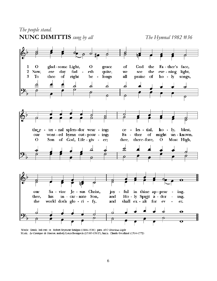

Words: Greek, 3rd cent.; tr. Robert Seymour Bridges (1844-1930); para. of O Gracious Light Music: Le Cantique de Siméon, melody Louis Bourgeois (1510?-1561?); harm. Claude Goudimel (1514-1572)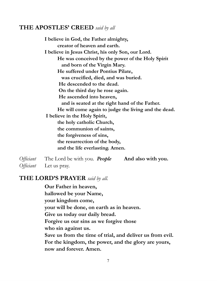### **THE APOSTLES' CREED** *said by all*

**I believe in God, the Father almighty, creator of heaven and earth. I believe in Jesus Christ, his only Son, our Lord. He was conceived by the power of the Holy Spirit and born of the Virgin Mary. He suffered under Pontius Pilate, was crucified, died, and was buried. He descended to the dead. On the third day he rose again. He ascended into heaven, and is seated at the right hand of the Father. He will come again to judge the living and the dead. I believe in the Holy Spirit, the holy catholic Church, the communion of saints, the forgiveness of sins, the resurrection of the body, and the life everlasting. Amen.**

*Of iciant* The Lord be with you. *People* **And also with you.** *Officiant* Let us pray.

### **THE LORD'S PRAYER** *said by all.*

**Our Father in heaven, hallowed be your Name, your kingdom come, your will be done, on earth as in heaven. Give us today our daily bread. Forgive us our sins as we forgive those who sin against us. Save us from the time of trial, and deliver us from evil. For the kingdom, the power, and the glory are yours, now and forever. Amen.**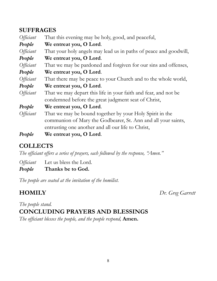## **SUFFRAGES**

| <i>Officiant</i> | That this evening may be holy, good, and peaceful,                |
|------------------|-------------------------------------------------------------------|
| People           | We entreat you, O Lord.                                           |
| <i>Officiant</i> | That your holy angels may lead us in paths of peace and goodwill, |
| People           | We entreat you, O Lord.                                           |
| <i>Officiant</i> | That we may be pardoned and forgiven for our sins and offenses,   |
| People           | We entreat you, O Lord.                                           |
| <i>Officiant</i> | That there may be peace to your Church and to the whole world,    |
| People           | We entreat you, O Lord.                                           |
| <i>Officiant</i> | That we may depart this life in your faith and fear, and not be   |
|                  | condemned before the great judgment seat of Christ,               |
| People           | We entreat you, O Lord.                                           |
| <i>Officiant</i> | That we may be bound together by your Holy Spirit in the          |
|                  | communion of Mary the Godbearer, St. Ann and all your saints,     |
|                  | entrusting one another and all our life to Christ,                |
| People           | We entreat you, O Lord.                                           |

# **COLLECTS**

*The of iciant of ers a series of prayers, each followed by the response, "Amen."*

*Officiant* Let us bless the Lord.

*People* **Thanks be to God.**

*The people are seated at the invitation of the homilist.*

**HOMILY** *Dr. Greg Garrett*

## *The people stand.* **CONCLUDING PRAYERS AND BLESSINGS**

*The of iciant blesses the people, and the people respond,* **Amen.**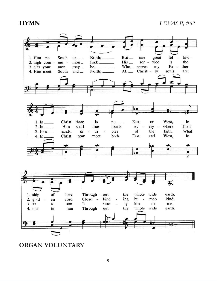**HYMN** *LEVAS II, #62*



**ORGAN VOLUNTARY**